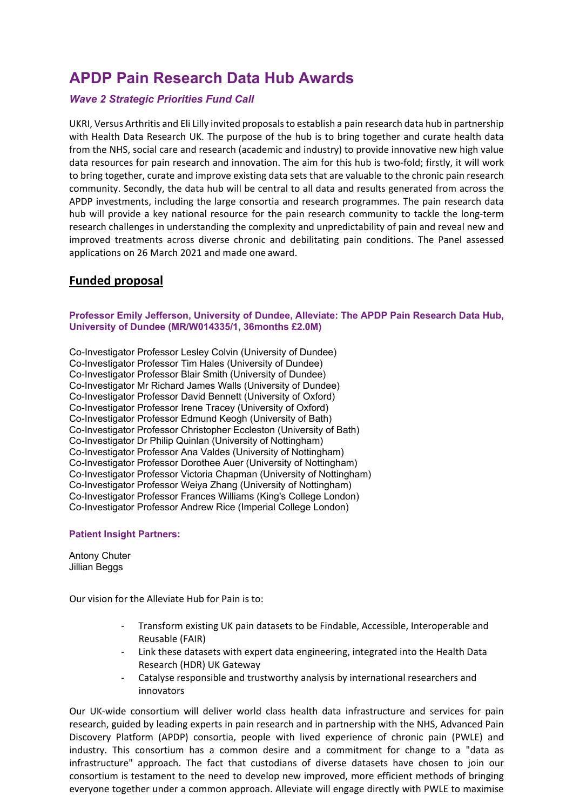# **APDP Pain Research Data Hub Awards**

# *Wave 2 Strategic Priorities Fund Call*

UKRI, Versus Arthritis and Eli Lilly invited proposalsto establish a pain research data hub in partnership with Health Data Research UK. The purpose of the hub is to bring together and curate health data from the NHS, social care and research (academic and industry) to provide innovative new high value data resources for pain research and innovation. The aim for this hub is two-fold; firstly, it will work to bring together, curate and improve existing data sets that are valuable to the chronic pain research community. Secondly, the data hub will be central to all data and results generated from across the APDP investments, including the large consortia and research programmes. The pain research data hub will provide a key national resource for the pain research community to tackle the long-term research challenges in understanding the complexity and unpredictability of pain and reveal new and improved treatments across diverse chronic and debilitating pain conditions. The Panel assessed applications on 26 March 2021 and made one award.

# **Funded proposal**

# **Professor Emily Jefferson, University of Dundee, Alleviate: The APDP Pain Research Data Hub, University of Dundee (MR/W014335/1, 36months £2.0M)**

Co-Investigator Professor Lesley Colvin (University of Dundee) Co-Investigator Professor Tim Hales (University of Dundee) Co-Investigator Professor Blair Smith (University of Dundee) Co-Investigator Mr Richard James Walls (University of Dundee) Co-Investigator Professor David Bennett (University of Oxford) Co-Investigator Professor Irene Tracey (University of Oxford) Co-Investigator Professor Edmund Keogh (University of Bath) Co-Investigator Professor Christopher Eccleston (University of Bath) Co-Investigator Dr Philip Quinlan (University of Nottingham) Co-Investigator Professor Ana Valdes (University of Nottingham) Co-Investigator Professor Dorothee Auer (University of Nottingham) Co-Investigator Professor Victoria Chapman (University of Nottingham) Co-Investigator Professor Weiya Zhang (University of Nottingham) Co-Investigator Professor Frances Williams (King's College London) Co-Investigator Professor Andrew Rice (Imperial College London)

# **Patient Insight Partners:**

Antony Chuter Jillian Beggs

Our vision for the Alleviate Hub for Pain is to:

- Transform existing UK pain datasets to be Findable, Accessible, Interoperable and Reusable (FAIR)
- Link these datasets with expert data engineering, integrated into the Health Data Research (HDR) UK Gateway
- Catalyse responsible and trustworthy analysis by international researchers and innovators

Our UK-wide consortium will deliver world class health data infrastructure and services for pain research, guided by leading experts in pain research and in partnership with the NHS, Advanced Pain Discovery Platform (APDP) consortia, people with lived experience of chronic pain (PWLE) and industry. This consortium has a common desire and a commitment for change to a "data as infrastructure" approach. The fact that custodians of diverse datasets have chosen to join our consortium is testament to the need to develop new improved, more efficient methods of bringing everyone together under a common approach. Alleviate will engage directly with PWLE to maximise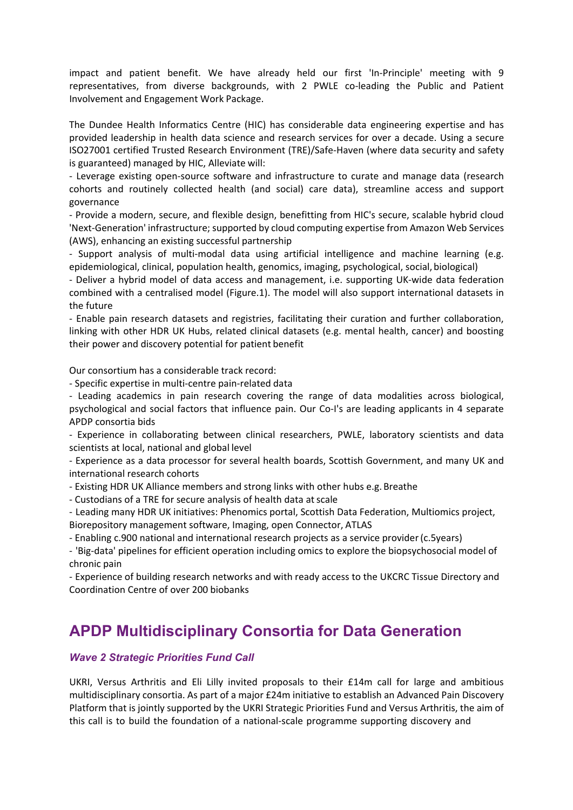impact and patient benefit. We have already held our first 'In-Principle' meeting with 9 representatives, from diverse backgrounds, with 2 PWLE co-leading the Public and Patient Involvement and Engagement Work Package.

The Dundee Health Informatics Centre (HIC) has considerable data engineering expertise and has provided leadership in health data science and research services for over a decade. Using a secure ISO27001 certified Trusted Research Environment (TRE)/Safe-Haven (where data security and safety is guaranteed) managed by HIC, Alleviate will:

- Leverage existing open-source software and infrastructure to curate and manage data (research cohorts and routinely collected health (and social) care data), streamline access and support governance

- Provide a modern, secure, and flexible design, benefitting from HIC's secure, scalable hybrid cloud 'Next-Generation' infrastructure; supported by cloud computing expertise from Amazon Web Services (AWS), enhancing an existing successful partnership

- Support analysis of multi-modal data using artificial intelligence and machine learning (e.g. epidemiological, clinical, population health, genomics, imaging, psychological, social, biological)

- Deliver a hybrid model of data access and management, i.e. supporting UK-wide data federation combined with a centralised model (Figure.1). The model will also support international datasets in the future

- Enable pain research datasets and registries, facilitating their curation and further collaboration, linking with other HDR UK Hubs, related clinical datasets (e.g. mental health, cancer) and boosting their power and discovery potential for patient benefit

Our consortium has a considerable track record:

- Specific expertise in multi-centre pain-related data

- Leading academics in pain research covering the range of data modalities across biological, psychological and social factors that influence pain. Our Co-I's are leading applicants in 4 separate APDP consortia bids

- Experience in collaborating between clinical researchers, PWLE, laboratory scientists and data scientists at local, national and global level

- Experience as a data processor for several health boards, Scottish Government, and many UK and international research cohorts

- Existing HDR UK Alliance members and strong links with other hubs e.g. Breathe

- Custodians of a TRE for secure analysis of health data at scale

- Leading many HDR UK initiatives: Phenomics portal, Scottish Data Federation, Multiomics project, Biorepository management software, Imaging, open Connector, ATLAS

- Enabling c.900 national and international research projects as a service provider(c.5years)

- 'Big-data' pipelines for efficient operation including omics to explore the biopsychosocial model of chronic pain

- Experience of building research networks and with ready access to the UKCRC Tissue Directory and Coordination Centre of over 200 biobanks

# **APDP Multidisciplinary Consortia for Data Generation**

# *Wave 2 Strategic Priorities Fund Call*

UKRI, Versus Arthritis and Eli Lilly invited proposals to their £14m call for large and ambitious multidisciplinary consortia. As part of a major £24m initiative to establish an Advanced Pain Discovery Platform that is jointly supported by the UKRI Strategic Priorities Fund and Versus Arthritis, the aim of this call is to build the foundation of a national-scale programme supporting discovery and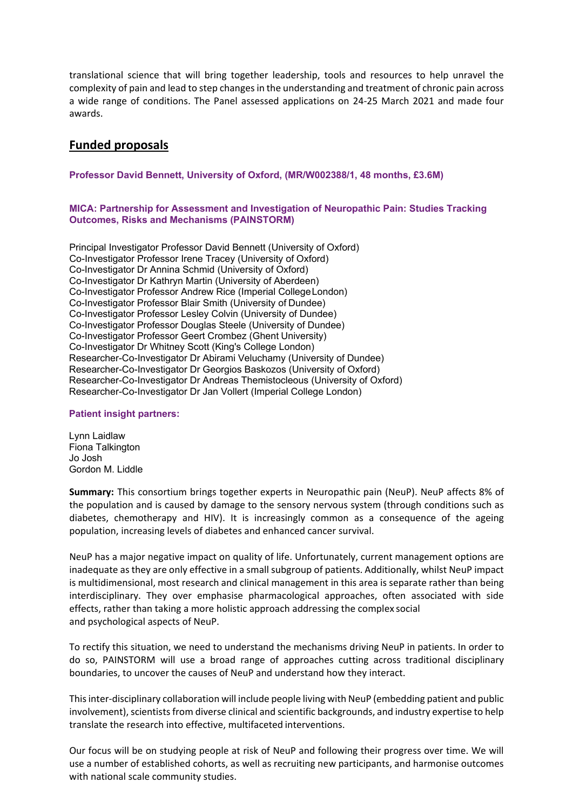translational science that will bring together leadership, tools and resources to help unravel the complexity of pain and lead to step changes in the understanding and treatment of chronic pain across a wide range of conditions. The Panel assessed applications on 24-25 March 2021 and made four awards.

# **Funded proposals**

# **Professor David Bennett, University of Oxford, (MR/W002388/1, 48 months, £3.6M)**

## **MICA: Partnership for Assessment and Investigation of Neuropathic Pain: Studies Tracking Outcomes, Risks and Mechanisms (PAINSTORM)**

Principal Investigator Professor David Bennett (University of Oxford) Co-Investigator Professor Irene Tracey (University of Oxford) Co-Investigator Dr Annina Schmid (University of Oxford) Co-Investigator Dr Kathryn Martin (University of Aberdeen) Co-Investigator Professor Andrew Rice (Imperial CollegeLondon) Co-Investigator Professor Blair Smith (University of Dundee) Co-Investigator Professor Lesley Colvin (University of Dundee) Co-Investigator Professor Douglas Steele (University of Dundee) Co-Investigator Professor Geert Crombez (Ghent University) Co-Investigator Dr Whitney Scott (King's College London) Researcher-Co-Investigator Dr Abirami Veluchamy (University of Dundee) Researcher-Co-Investigator Dr Georgios Baskozos (University of Oxford) Researcher-Co-Investigator Dr Andreas Themistocleous (University of Oxford) Researcher-Co-Investigator Dr Jan Vollert (Imperial College London)

#### **Patient insight partners:**

Lynn Laidlaw Fiona Talkington Jo Josh Gordon M. Liddle

**Summary:** This consortium brings together experts in Neuropathic pain (NeuP). NeuP affects 8% of the population and is caused by damage to the sensory nervous system (through conditions such as diabetes, chemotherapy and HIV). It is increasingly common as a consequence of the ageing population, increasing levels of diabetes and enhanced cancer survival.

NeuP has a major negative impact on quality of life. Unfortunately, current management options are inadequate as they are only effective in a small subgroup of patients. Additionally, whilst NeuP impact is multidimensional, most research and clinical management in this area is separate rather than being interdisciplinary. They over emphasise pharmacological approaches, often associated with side effects, rather than taking a more holistic approach addressing the complex social and psychological aspects of NeuP.

To rectify this situation, we need to understand the mechanisms driving NeuP in patients. In order to do so, PAINSTORM will use a broad range of approaches cutting across traditional disciplinary boundaries, to uncover the causes of NeuP and understand how they interact.

Thisinter-disciplinary collaboration will include people living with NeuP (embedding patient and public involvement), scientists from diverse clinical and scientific backgrounds, and industry expertise to help translate the research into effective, multifaceted interventions.

Our focus will be on studying people at risk of NeuP and following their progress over time. We will use a number of established cohorts, as well as recruiting new participants, and harmonise outcomes with national scale community studies.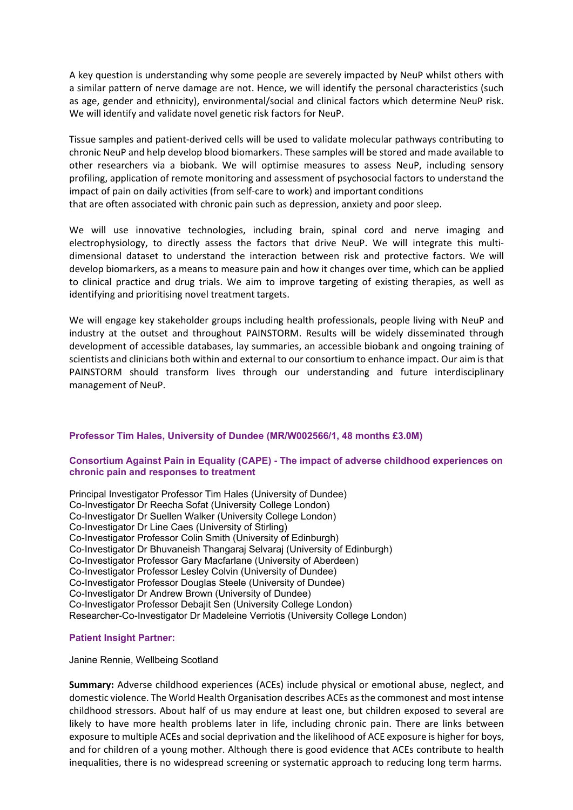A key question is understanding why some people are severely impacted by NeuP whilst others with a similar pattern of nerve damage are not. Hence, we will identify the personal characteristics (such as age, gender and ethnicity), environmental/social and clinical factors which determine NeuP risk. We will identify and validate novel genetic risk factors for NeuP.

Tissue samples and patient-derived cells will be used to validate molecular pathways contributing to chronic NeuP and help develop blood biomarkers. These samples will be stored and made available to other researchers via a biobank. We will optimise measures to assess NeuP, including sensory profiling, application of remote monitoring and assessment of psychosocial factors to understand the impact of pain on daily activities (from self-care to work) and important conditions that are often associated with chronic pain such as depression, anxiety and poor sleep.

We will use innovative technologies, including brain, spinal cord and nerve imaging and electrophysiology, to directly assess the factors that drive NeuP. We will integrate this multidimensional dataset to understand the interaction between risk and protective factors. We will develop biomarkers, as a means to measure pain and how it changes over time, which can be applied to clinical practice and drug trials. We aim to improve targeting of existing therapies, as well as identifying and prioritising novel treatment targets.

We will engage key stakeholder groups including health professionals, people living with NeuP and industry at the outset and throughout PAINSTORM. Results will be widely disseminated through development of accessible databases, lay summaries, an accessible biobank and ongoing training of scientists and clinicians both within and external to our consortium to enhance impact. Our aim isthat PAINSTORM should transform lives through our understanding and future interdisciplinary management of NeuP.

# **Professor Tim Hales, University of Dundee (MR/W002566/1, 48 months £3.0M)**

## **Consortium Against Pain in Equality (CAPE) - The impact of adverse childhood experiences on chronic pain and responses to treatment**

Principal Investigator Professor Tim Hales (University of Dundee) Co-Investigator Dr Reecha Sofat (University College London) Co-Investigator Dr Suellen Walker (University College London) Co-Investigator Dr Line Caes (University of Stirling) Co-Investigator Professor Colin Smith (University of Edinburgh) Co-Investigator Dr Bhuvaneish Thangaraj Selvaraj (University of Edinburgh) Co-Investigator Professor Gary Macfarlane (University of Aberdeen) Co-Investigator Professor Lesley Colvin (University of Dundee) Co-Investigator Professor Douglas Steele (University of Dundee) Co-Investigator Dr Andrew Brown (University of Dundee) Co-Investigator Professor Debajit Sen (University College London) Researcher-Co-Investigator Dr Madeleine Verriotis (University College London)

# **Patient Insight Partner:**

Janine Rennie, Wellbeing Scotland

**Summary:** Adverse childhood experiences (ACEs) include physical or emotional abuse, neglect, and domestic violence. The World Health Organisation describes ACEs asthe commonest and most intense childhood stressors. About half of us may endure at least one, but children exposed to several are likely to have more health problems later in life, including chronic pain. There are links between exposure to multiple ACEs and social deprivation and the likelihood of ACE exposure is higher for boys, and for children of a young mother. Although there is good evidence that ACEs contribute to health inequalities, there is no widespread screening or systematic approach to reducing long term harms.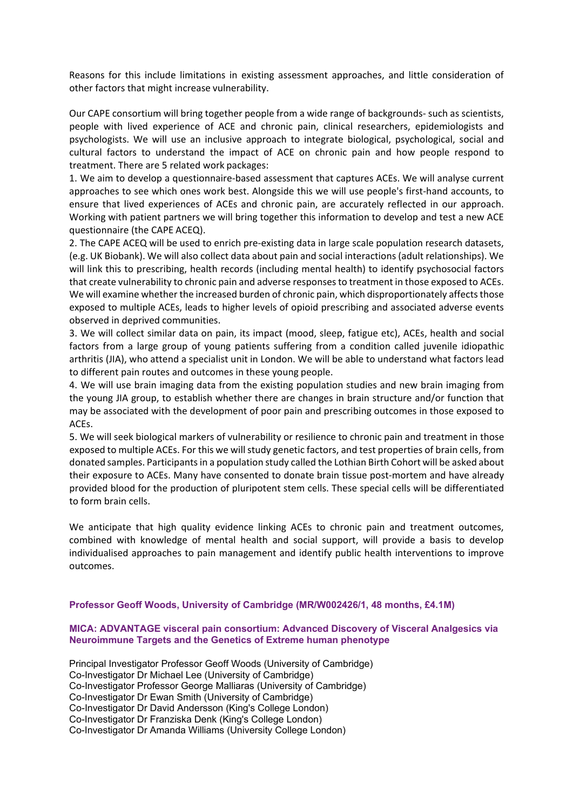Reasons for this include limitations in existing assessment approaches, and little consideration of other factors that might increase vulnerability.

Our CAPE consortium will bring together people from a wide range of backgrounds- such as scientists, people with lived experience of ACE and chronic pain, clinical researchers, epidemiologists and psychologists. We will use an inclusive approach to integrate biological, psychological, social and cultural factors to understand the impact of ACE on chronic pain and how people respond to treatment. There are 5 related work packages:

1. We aim to develop a questionnaire-based assessment that captures ACEs. We will analyse current approaches to see which ones work best. Alongside this we will use people's first-hand accounts, to ensure that lived experiences of ACEs and chronic pain, are accurately reflected in our approach. Working with patient partners we will bring together this information to develop and test a new ACE questionnaire (the CAPE ACEQ).

2. The CAPE ACEQ will be used to enrich pre-existing data in large scale population research datasets, (e.g. UK Biobank). We will also collect data about pain and social interactions (adult relationships). We will link this to prescribing, health records (including mental health) to identify psychosocial factors that create vulnerability to chronic pain and adverse responsesto treatment in those exposed to ACEs. We will examine whether the increased burden of chronic pain, which disproportionately affects those exposed to multiple ACEs, leads to higher levels of opioid prescribing and associated adverse events observed in deprived communities.

3. We will collect similar data on pain, its impact (mood, sleep, fatigue etc), ACEs, health and social factors from a large group of young patients suffering from a condition called juvenile idiopathic arthritis (JIA), who attend a specialist unit in London. We will be able to understand what factors lead to different pain routes and outcomes in these young people.

4. We will use brain imaging data from the existing population studies and new brain imaging from the young JIA group, to establish whether there are changes in brain structure and/or function that may be associated with the development of poor pain and prescribing outcomes in those exposed to ACEs.

5. We will seek biological markers of vulnerability or resilience to chronic pain and treatment in those exposed to multiple ACEs. For this we will study genetic factors, and test properties of brain cells, from donated samples. Participantsin a population study called the Lothian Birth Cohort will be asked about their exposure to ACEs. Many have consented to donate brain tissue post-mortem and have already provided blood for the production of pluripotent stem cells. These special cells will be differentiated to form brain cells.

We anticipate that high quality evidence linking ACEs to chronic pain and treatment outcomes, combined with knowledge of mental health and social support, will provide a basis to develop individualised approaches to pain management and identify public health interventions to improve outcomes.

#### **Professor Geoff Woods, University of Cambridge (MR/W002426/1, 48 months, £4.1M)**

## **MICA: ADVANTAGE visceral pain consortium: Advanced Discovery of Visceral Analgesics via Neuroimmune Targets and the Genetics of Extreme human phenotype**

Principal Investigator Professor Geoff Woods (University of Cambridge) Co-Investigator Dr Michael Lee (University of Cambridge) Co-Investigator Professor George Malliaras (University of Cambridge) Co-Investigator Dr Ewan Smith (University of Cambridge) Co-Investigator Dr David Andersson (King's College London) Co-Investigator Dr Franziska Denk (King's College London) Co-Investigator Dr Amanda Williams (University College London)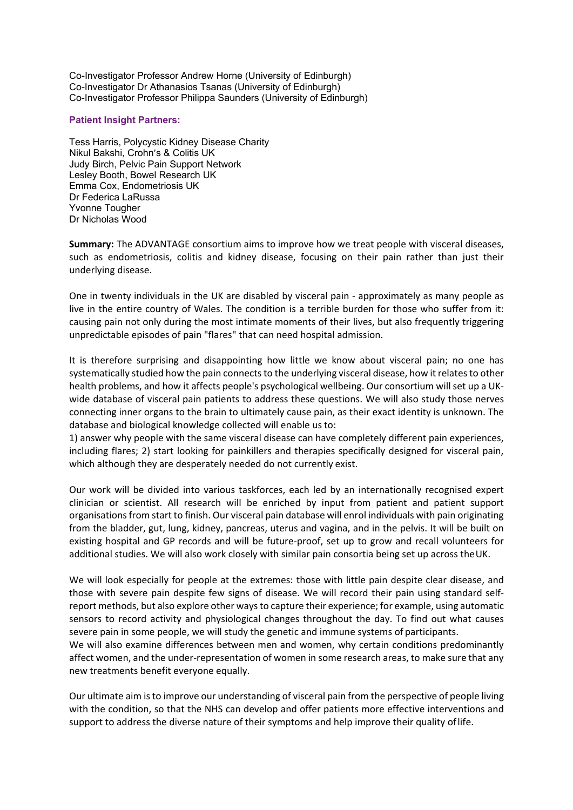Co-Investigator Professor Andrew Horne (University of Edinburgh) Co-Investigator Dr Athanasios Tsanas (University of Edinburgh) Co-Investigator Professor Philippa Saunders (University of Edinburgh)

## **Patient Insight Partners:**

Tess Harris, Polycystic Kidney Disease Charity Nikul Bakshi, Crohn's & Colitis UK Judy Birch, Pelvic Pain Support Network Lesley Booth, Bowel Research UK Emma Cox, Endometriosis UK Dr Federica LaRussa Yvonne Tougher Dr Nicholas Wood

**Summary:** The ADVANTAGE consortium aims to improve how we treat people with visceral diseases, such as endometriosis, colitis and kidney disease, focusing on their pain rather than just their underlying disease.

One in twenty individuals in the UK are disabled by visceral pain - approximately as many people as live in the entire country of Wales. The condition is a terrible burden for those who suffer from it: causing pain not only during the most intimate moments of their lives, but also frequently triggering unpredictable episodes of pain "flares" that can need hospital admission.

It is therefore surprising and disappointing how little we know about visceral pain; no one has systematically studied how the pain connects to the underlying visceral disease, how it relates to other health problems, and how it affects people's psychological wellbeing. Our consortium will set up a UKwide database of visceral pain patients to address these questions. We will also study those nerves connecting inner organs to the brain to ultimately cause pain, as their exact identity is unknown. The database and biological knowledge collected will enable us to:

1) answer why people with the same visceral disease can have completely different pain experiences, including flares; 2) start looking for painkillers and therapies specifically designed for visceral pain, which although they are desperately needed do not currently exist.

Our work will be divided into various taskforces, each led by an internationally recognised expert clinician or scientist. All research will be enriched by input from patient and patient support organisationsfrom start to finish. Our visceral pain database will enrol individuals with pain originating from the bladder, gut, lung, kidney, pancreas, uterus and vagina, and in the pelvis. It will be built on existing hospital and GP records and will be future-proof, set up to grow and recall volunteers for additional studies. We will also work closely with similar pain consortia being set up across theUK.

We will look especially for people at the extremes: those with little pain despite clear disease, and those with severe pain despite few signs of disease. We will record their pain using standard selfreport methods, but also explore other waysto capture their experience; for example, using automatic sensors to record activity and physiological changes throughout the day. To find out what causes severe pain in some people, we will study the genetic and immune systems of participants. We will also examine differences between men and women, why certain conditions predominantly affect women, and the under-representation of women in some research areas, to make sure that any new treatments benefit everyone equally.

Our ultimate aim isto improve our understanding of visceral pain from the perspective of people living with the condition, so that the NHS can develop and offer patients more effective interventions and support to address the diverse nature of their symptoms and help improve their quality oflife.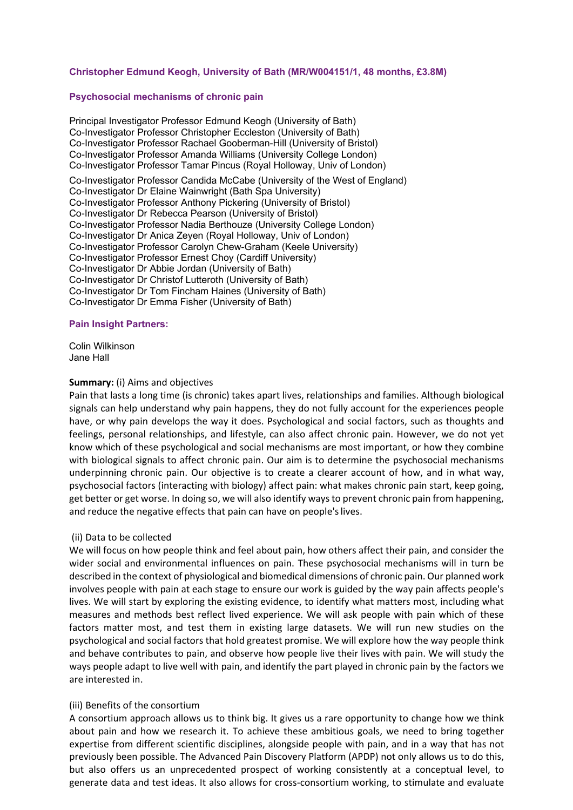# **Christopher Edmund Keogh, University of Bath (MR/W004151/1, 48 months, £3.8M)**

#### **Psychosocial mechanisms of chronic pain**

Principal Investigator Professor Edmund Keogh (University of Bath) Co-Investigator Professor Christopher Eccleston (University of Bath) Co-Investigator Professor Rachael Gooberman-Hill (University of Bristol) Co-Investigator Professor Amanda Williams (University College London) Co-Investigator Professor Tamar Pincus (Royal Holloway, Univ of London) Co-Investigator Professor Candida McCabe (University of the West of England) Co-Investigator Dr Elaine Wainwright (Bath Spa University) Co-Investigator Professor Anthony Pickering (University of Bristol) Co-Investigator Dr Rebecca Pearson (University of Bristol) Co-Investigator Professor Nadia Berthouze (University College London) Co-Investigator Dr Anica Zeyen (Royal Holloway, Univ of London) Co-Investigator Professor Carolyn Chew-Graham (Keele University) Co-Investigator Professor Ernest Choy (Cardiff University) Co-Investigator Dr Abbie Jordan (University of Bath) Co-Investigator Dr Christof Lutteroth (University of Bath) Co-Investigator Dr Tom Fincham Haines (University of Bath) Co-Investigator Dr Emma Fisher (University of Bath)

#### **Pain Insight Partners:**

Colin Wilkinson Jane Hall

#### **Summary:** (i) Aims and objectives

Pain that lasts a long time (is chronic) takes apart lives, relationships and families. Although biological signals can help understand why pain happens, they do not fully account for the experiences people have, or why pain develops the way it does. Psychological and social factors, such as thoughts and feelings, personal relationships, and lifestyle, can also affect chronic pain. However, we do not yet know which of these psychological and social mechanisms are most important, or how they combine with biological signals to affect chronic pain. Our aim is to determine the psychosocial mechanisms underpinning chronic pain. Our objective is to create a clearer account of how, and in what way, psychosocial factors (interacting with biology) affect pain: what makes chronic pain start, keep going, get better or get worse. In doing so, we will also identify waysto prevent chronic pain from happening, and reduce the negative effects that pain can have on people's lives.

#### (ii) Data to be collected

We will focus on how people think and feel about pain, how others affect their pain, and consider the wider social and environmental influences on pain. These psychosocial mechanisms will in turn be described in the context of physiological and biomedical dimensions of chronic pain. Our planned work involves people with pain at each stage to ensure our work is guided by the way pain affects people's lives. We will start by exploring the existing evidence, to identify what matters most, including what measures and methods best reflect lived experience. We will ask people with pain which of these factors matter most, and test them in existing large datasets. We will run new studies on the psychological and social factors that hold greatest promise. We will explore how the way people think and behave contributes to pain, and observe how people live their lives with pain. We will study the ways people adapt to live well with pain, and identify the part played in chronic pain by the factors we are interested in.

#### (iii) Benefits of the consortium

A consortium approach allows us to think big. It gives us a rare opportunity to change how we think about pain and how we research it. To achieve these ambitious goals, we need to bring together expertise from different scientific disciplines, alongside people with pain, and in a way that has not previously been possible. The Advanced Pain Discovery Platform (APDP) not only allows us to do this, but also offers us an unprecedented prospect of working consistently at a conceptual level, to generate data and test ideas. It also allows for cross-consortium working, to stimulate and evaluate